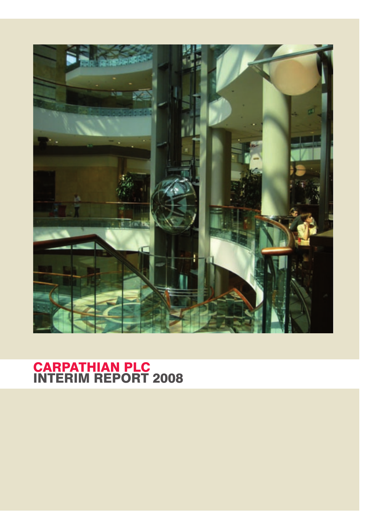

# CARPATHIAN PLC INTERIM REPORT 2008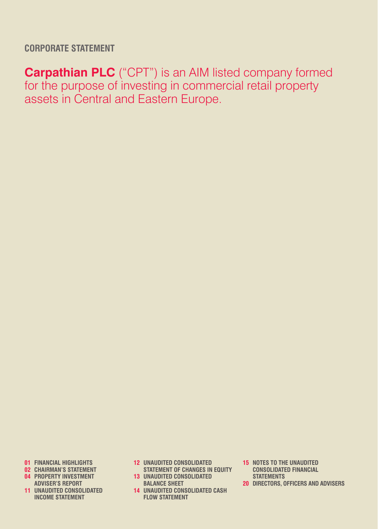**CORPORATE STATEMENT**

**Carpathian PLC** ("CPT") is an AIM listed company formed for the purpose of investing in commercial retail property assets in Central and Eastern Europe.

- **01 financial highlights**
- **02 chairman's statement**
- **04 property investment adviser's report**
- **11 unaudited consolidated 14 unaudited consolidated cash income statement**
- **12 unaudited consolidated 15 notes to the unaudited**
- **statement of changes in equity consolidated financial 13 UNAUDITED CONSOLIDATED<br>13 UNAUDITED CONSOLIDATED** 
	- **balance SHEET**
	- **flow statement**
- 
- **statements**
- **20 directors, officers and advisers**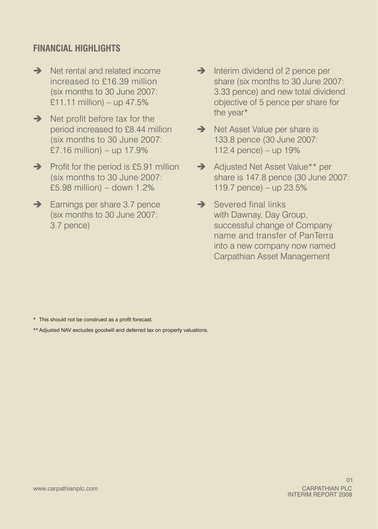## **financial Highlights**

- **→** Net rental and related income increased to £16.39 million (six months to 30 June 2007:  $£11.11$  million) – up 47.5%
- $\rightarrow$  Net profit before tax for the period increased to £8.44 million (six months to 30 June 2007:  $£7.16$  million) – up 17.9%
- $\rightarrow$  Profit for the period is £5.91 million (six months to 30 June 2007: £5.98 million) – down 1.2%
- $\rightarrow$  Earnings per share 3.7 pence (six months to 30 June 2007: 3.7 pence)
- $\rightarrow$  Interim dividend of 2 pence per share (six months to 30 June 2007: 3.33 pence) and new total dividend objective of 5 pence per share for the year\*
- $\rightarrow$  Net Asset Value per share is 133.8 pence (30 June 2007: 112.4 pence) – up 19%
- → Adjusted Net Asset Value\*\* per share is 147.8 pence (30 June 2007: 119.7 pence) – up 23.5%
- $\rightarrow$  Severed final links with Dawnay, Day Group, successful change of Company name and transfer of PanTerra into a new company now named Carpathian Asset Management

- \* This should not be construed as a profit forecast.
- \*\* Adjusted NAV excludes goodwill and deferred tax on property valuations.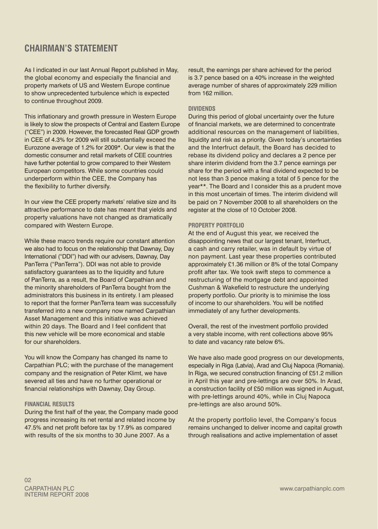### **CHAIRMAN'S STATEMENT**

As I indicated in our last Annual Report published in May, the global economy and especially the financial and property markets of US and Western Europe continue to show unprecedented turbulence which is expected to continue throughout 2009.

This inflationary and growth pressure in Western Europe is likely to slow the prospects of Central and Eastern Europe ("CEE") in 2009. However, the forecasted Real GDP growth in CEE of 4.3% for 2009 will still substantially exceed the Eurozone average of 1.2% for 2009\*. Our view is that the domestic consumer and retail markets of CEE countries have further potential to grow compared to their Western European competitors. While some countries could underperform within the CEE, the Company has the flexibility to further diversify.

In our view the CEE property markets' relative size and its attractive performance to date has meant that yields and property valuations have not changed as dramatically compared with Western Europe.

While these macro trends require our constant attention we also had to focus on the relationship that Dawnay, Day International ("DDI") had with our advisers, Dawnay, Day PanTerra ("PanTerra"). DDI was not able to provide satisfactory guarantees as to the liquidity and future of PanTerra, as a result, the Board of Carpathian and the minority shareholders of PanTerra bought from the administrators this business in its entirety. I am pleased to report that the former PanTerra team was successfully transferred into a new company now named Carpathian Asset Management and this initiative was achieved within 20 days. The Board and I feel confident that this new vehicle will be more economical and stable for our shareholders.

You will know the Company has changed its name to Carpathian PLC; with the purchase of the management company and the resignation of Peter Klimt, we have severed all ties and have no further operational or financial relationships with Dawnay, Day Group.

#### **Financial Results**

During the first half of the year, the Company made good progress increasing its net rental and related income by 47.5% and net profit before tax by 17.9% as compared with results of the six months to 30 June 2007. As a

result, the earnings per share achieved for the period is 3.7 pence based on a 40% increase in the weighted average number of shares of approximately 229 million from 162 million.

### **DIVIDENDS**

During this period of global uncertainty over the future of financial markets, we are determined to concentrate additional resources on the management of liabilities, liquidity and risk as a priority. Given today's uncertainties and the Interfruct default, the Board has decided to rebase its dividend policy and declares a 2 pence per share interim dividend from the 3.7 pence earnings per share for the period with a final dividend expected to be not less than 3 pence making a total of 5 pence for the year\*\*. The Board and I consider this as a prudent move in this most uncertain of times. The interim dividend will be paid on 7 November 2008 to all shareholders on the register at the close of 10 October 2008.

#### **Property Portfolio**

At the end of August this year, we received the disappointing news that our largest tenant, Interfruct, a cash and carry retailer, was in default by virtue of non payment. Last year these properties contributed approximately £1.36 million or 8% of the total Company profit after tax. We took swift steps to commence a restructuring of the mortgage debt and appointed Cushman & Wakefield to restructure the underlying property portfolio. Our priority is to minimise the loss of income to our shareholders. You will be notified immediately of any further developments.

Overall, the rest of the investment portfolio provided a very stable income, with rent collections above 95% to date and vacancy rate below 6%.

We have also made good progress on our developments, especially in Riga (Latvia), Arad and Cluj Napoca (Romania). In Riga, we secured construction financing of £51.2 million in April this year and pre-lettings are over 50%. In Arad, a construction facility of £50 million was signed in August, with pre-lettings around 40%, while in Clui Napoca pre-lettings are also around 50%.

At the property portfolio level, the Company's focus remains unchanged to deliver income and capital growth through realisations and active implementation of asset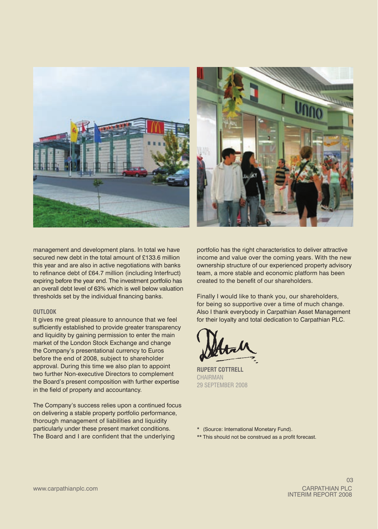



management and development plans. In total we have secured new debt in the total amount of £133.6 million this year and are also in active negotiations with banks to refinance debt of £64.7 million (including Interfruct) expiring before the year end. The investment portfolio has an overall debt level of 63% which is well below valuation thresholds set by the individual financing banks.

#### **Outlook**

It gives me great pleasure to announce that we feel sufficiently established to provide greater transparency and liquidity by gaining permission to enter the main market of the London Stock Exchange and change the Company's presentational currency to Euros before the end of 2008, subject to shareholder approval. During this time we also plan to appoint two further Non‑executive Directors to complement the Board's present composition with further expertise in the field of property and accountancy.

The Company's success relies upon a continued focus on delivering a stable property portfolio performance, thorough management of liabilities and liquidity particularly under these present market conditions. The Board and I are confident that the underlying

portfolio has the right characteristics to deliver attractive income and value over the coming years. With the new ownership structure of our experienced property advisory team, a more stable and economic platform has been created to the benefit of our shareholders.

Finally I would like to thank you, our shareholders, for being so supportive over a time of much change. Also I thank everybody in Carpathian Asset Management for their loyalty and total dedication to Carpathian PLC.

**RUPERT COTTRELL CHAIRMAN** 29 September 2008

\* (Source: International Monetary Fund).

\*\* This should not be construed as a profit forecast.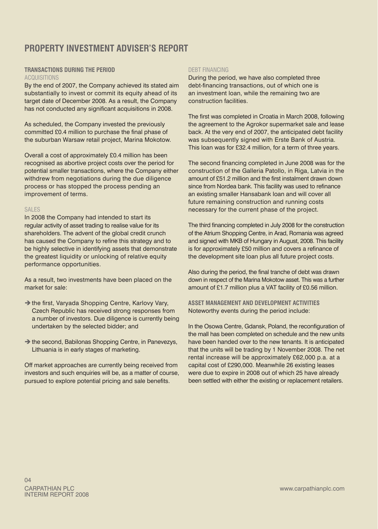## **Property Investment AdvisEr's Report**

### **Transactions during the period** Acquisitions

By the end of 2007, the Company achieved its stated aim substantially to invest or commit its equity ahead of its target date of December 2008. As a result, the Company has not conducted any significant acquisitions in 2008.

As scheduled, the Company invested the previously committed £0.4 million to purchase the final phase of the suburban Warsaw retail project, Marina Mokotow.

Overall a cost of approximately £0.4 million has been recognised as abortive project costs over the period for potential smaller transactions, where the Company either withdrew from negotiations during the due diligence process or has stopped the process pending an improvement of terms.

### **SALES**

In 2008 the Company had intended to start its regular activity of asset trading to realise value for its shareholders. The advent of the global credit crunch has caused the Company to refine this strategy and to be highly selective in identifying assets that demonstrate the greatest liquidity or unlocking of relative equity performance opportunities.

As a result, two investments have been placed on the market for sale:

- $\rightarrow$  the first, Varyada Shopping Centre, Karlovy Vary, Czech Republic has received strong responses from a number of investors. Due diligence is currently being undertaken by the selected bidder; and
- $\rightarrow$  the second, Babilonas Shopping Centre, in Panevezys, Lithuania is in early stages of marketing.

Off market approaches are currently being received from investors and such enquiries will be, as a matter of course, pursued to explore potential pricing and sale benefits.

#### DERT FINANCING

During the period, we have also completed three debt-financing transactions, out of which one is an investment loan, while the remaining two are construction facilities.

The first was completed in Croatia in March 2008, following the agreement to the Agrokor supermarket sale and lease back. At the very end of 2007, the anticipated debt facility was subsequently signed with Erste Bank of Austria. This loan was for £32.4 million, for a term of three years.

The second financing completed in June 2008 was for the construction of the Galleria Patollo, in Riga, Latvia in the amount of £51.2 million and the first instalment drawn down since from Nordea bank. This facility was used to refinance an existing smaller Hansabank loan and will cover all future remaining construction and running costs necessary for the current phase of the project.

The third financing completed in July 2008 for the construction of the Atrium Shopping Centre, in Arad, Romania was agreed and signed with MKB of Hungary in August, 2008. This facility is for approximately £50 million and covers a refinance of the development site loan plus all future project costs.

Also during the period, the final tranche of debt was drawn down in respect of the Marina Mokotow asset. This was a further amount of £1.7 million plus a VAT facility of £0.56 million.

**Asset management and development activities** Noteworthy events during the period include:

In the Osowa Centre, Gdansk, Poland, the reconfiguration of the mall has been completed on schedule and the new units have been handed over to the new tenants. It is anticipated that the units will be trading by 1 November 2008. The net rental increase will be approximately £62,000 p.a. at a capital cost of £290,000. Meanwhile 26 existing leases were due to expire in 2008 out of which 25 have already been settled with either the existing or replacement retailers.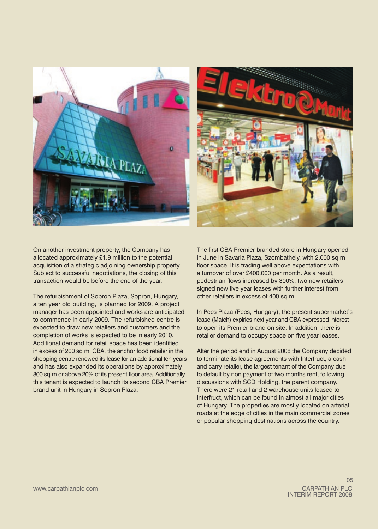

On another investment property, the Company has allocated approximately £1.9 million to the potential acquisition of a strategic adjoining ownership property. Subject to successful negotiations, the closing of this transaction would be before the end of the year.

The refurbishment of Sopron Plaza, Sopron, Hungary, a ten year old building, is planned for 2009. A project manager has been appointed and works are anticipated to commence in early 2009. The refurbished centre is expected to draw new retailers and customers and the completion of works is expected to be in early 2010. Additional demand for retail space has been identified in excess of 200 sq m. CBA, the anchor food retailer in the shopping centre renewed its lease for an additional ten years and has also expanded its operations by approximately 800 sq m or above 20% of its present floor area. Additionally, this tenant is expected to launch its second CBA Premier brand unit in Hungary in Sopron Plaza.

The first CBA Premier branded store in Hungary opened in June in Savaria Plaza, Szombathely, with 2,000 sq m floor space. It is trading well above expectations with a turnover of over £400,000 per month. As a result, pedestrian flows increased by 300%, two new retailers signed new five year leases with further interest from other retailers in excess of 400 sq m.

In Pecs Plaza (Pecs, Hungary), the present supermarket's lease (Match) expiries next year and CBA expressed interest to open its Premier brand on site. In addition, there is retailer demand to occupy space on five year leases.

After the period end in August 2008 the Company decided to terminate its lease agreements with Interfruct, a cash and carry retailer, the largest tenant of the Company due to default by non payment of two months rent, following discussions with SCD Holding, the parent company. There were 21 retail and 2 warehouse units leased to Interfruct, which can be found in almost all major cities of Hungary. The properties are mostly located on arterial roads at the edge of cities in the main commercial zones or popular shopping destinations across the country.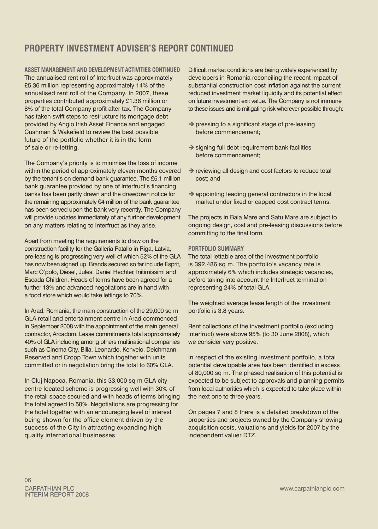## **Property Investment AdvisEr's Report continued**

**Asset management and development activities continued** The annualised rent roll of Interfruct was approximately £5.36 million representing approximately 14% of the annualised rent roll of the Company. In 2007, these properties contributed approximately £1.36 million or 8% of the total Company profit after tax. The Company has taken swift steps to restructure its mortgage debt provided by Anglo Irish Asset Finance and engaged Cushman & Wakefield to review the best possible future of the portfolio whether it is in the form of sale or re-letting.

The Company's priority is to minimise the loss of income within the period of approximately eleven months covered by the tenant's on demand bank guarantee. The £5.1 million bank guarantee provided by one of Interfruct's financing banks has been partly drawn and the drawdown notice for the remaining approximately €4 million of the bank guarantee has been served upon the bank very recently. The Company will provide updates immediately of any further development on any matters relating to Interfruct as they arise.

Apart from meeting the requirements to draw on the construction facility for the Galleria Patallo in Riga, Latvia, pre‑leasing is progressing very well of which 52% of the GLA has now been signed up. Brands secured so far include Esprit. Marc O'polo, Diesel, Jules, Daniel Hechter, Initimissimi and Escada Children. Heads of terms have been agreed for a further 13% and advanced negotiations are in hand with a food store which would take lettings to 70%.

In Arad, Romania, the main construction of the 29,000 sq m GLA retail and entertainment centre in Arad commenced in September 2008 with the appointment of the main general contractor, Arcadom. Lease commitments total approximately 40% of GLA including among others multinational companies such as Cinema City, Billa, Leonardo, Kenvelo, Deichmann, Reserved and Cropp Town which together with units committed or in negotiation bring the total to 60% GLA.

In Cluj Napoca, Romania, this 33,000 sq m GLA city centre located scheme is progressing well with 30% of the retail space secured and with heads of terms bringing the total agreed to 50%. Negotiations are progressing for the hotel together with an encouraging level of interest being shown for the office element driven by the success of the City in attracting expanding high quality international businesses.

Difficult market conditions are being widely experienced by developers in Romania reconciling the recent impact of substantial construction cost inflation against the current reduced investment market liquidity and its potential effect on future investment exit value. The Company is not immune to these issues and is mitigating risk wherever possible through:

- $\rightarrow$  pressing to a significant stage of pre-leasing before commencement;
- $\rightarrow$  signing full debt requirement bank facilities before commencement;
- $\rightarrow$  reviewing all design and cost factors to reduce total cost; and
- $\rightarrow$  appointing leading general contractors in the local market under fixed or capped cost contract terms.

The projects in Baia Mare and Satu Mare are subject to ongoing design, cost and pre‑leasing discussions before committing to the final form.

#### **Portfolio Summary**

The total lettable area of the investment portfolio is 392,486 sq m. The portfolio's vacancy rate is approximately 6% which includes strategic vacancies, before taking into account the Interfruct termination representing 24% of total GLA.

The weighted average lease length of the investment portfolio is 3.8 years.

Rent collections of the investment portfolio (excluding Interfruct) were above 95% (to 30 June 2008), which we consider very positive.

In respect of the existing investment portfolio, a total potential developable area has been identified in excess of 80,000 sq m. The phased realisation of this potential is expected to be subject to approvals and planning permits from local authorities which is expected to take place within the next one to three years.

On pages 7 and 8 there is a detailed breakdown of the properties and projects owned by the Company showing acquisition costs, valuations and yields for 2007 by the independent valuer DTZ.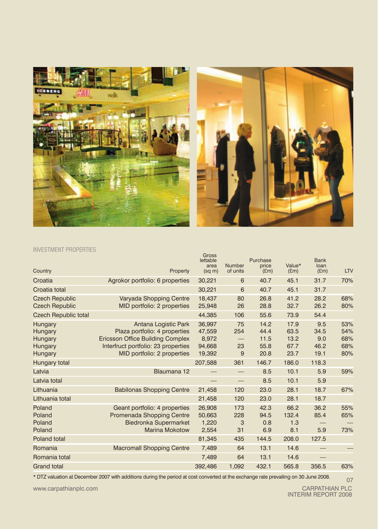



### Investment properties

| Country                                        | Property                                                                                                                                | Gross<br>lettable<br>area<br>$(sq \, m)$ | Number<br>of units       | Purchase<br>price<br>(Em)    | Value*<br>E(m)               | <b>Bank</b><br>loan<br>E(m) | LTV                      |
|------------------------------------------------|-----------------------------------------------------------------------------------------------------------------------------------------|------------------------------------------|--------------------------|------------------------------|------------------------------|-----------------------------|--------------------------|
| Croatia                                        | Agrokor portfolio: 6 properties                                                                                                         | 30,221                                   | 6                        | 40.7                         | 45.1                         | 31.7                        | 70%                      |
| Croatia total                                  |                                                                                                                                         | 30,221                                   | 6                        | 40.7                         | 45.1                         | 31.7                        |                          |
| <b>Czech Republic</b><br><b>Czech Republic</b> | Varyada Shopping Centre<br>MID portfolio: 2 properties                                                                                  | 18,437<br>25,948                         | 80<br>26                 | 26.8<br>28.8                 | 41.2<br>32.7                 | 28.2<br>26.2                | 68%<br>80%               |
| <b>Czech Republic total</b>                    |                                                                                                                                         | 44,385                                   | 106                      | 55.6                         | 73.9                         | 54.4                        |                          |
| Hungary<br>Hungary<br>Hungary<br>Hungary       | Antana Logistic Park<br>Plaza portfolio: 4 properties<br><b>Ericsson Office Building Complex</b><br>Interfruct portfolio: 23 properties | 36,997<br>47,559<br>8,972<br>94.668      | 75<br>254<br>23          | 14.2<br>44.4<br>11.5<br>55.8 | 17.9<br>63.5<br>13.2<br>67.7 | 9.5<br>34.5<br>9.0<br>46.2  | 53%<br>54%<br>68%<br>68% |
| Hungary                                        | MID portfolio: 2 properties                                                                                                             | 19,392                                   | 9                        | 20.8                         | 23.7                         | 19.1                        | 80%                      |
| Hungary total                                  |                                                                                                                                         | 207,588                                  | 361                      | 146.7                        | 186.0                        | 118.3                       |                          |
| Latvia                                         | Blaumana 12                                                                                                                             |                                          | $\qquad \qquad$          | 8.5                          | 10.1                         | 5.9                         | 59%                      |
| Latvia total                                   |                                                                                                                                         |                                          | $\overline{\phantom{0}}$ | 8.5                          | 10.1                         | 5.9                         |                          |
| Lithuania                                      | <b>Babilonas Shopping Centre</b>                                                                                                        | 21,458                                   | 120                      | 23.0                         | 28.1                         | 18.7                        | 67%                      |
| Lithuania total                                |                                                                                                                                         | 21,458                                   | 120                      | 23.0                         | 28.1                         | 18.7                        |                          |
| Poland<br>Poland<br>Poland<br>Poland           | Geant portfolio: 4 properties<br>Promenada Shopping Centre<br><b>Biedronka Supermarket</b><br><b>Marina Mokotow</b>                     | 26.908<br>50,663<br>1,220<br>2,554       | 173<br>228<br>3<br>31    | 42.3<br>94.5<br>0.8<br>6.9   | 66.2<br>132.4<br>1.3<br>8.1  | 36.2<br>85.4<br>5.9         | 55%<br>65%<br>73%        |
| Poland total                                   |                                                                                                                                         | 81,345                                   | 435                      | 144.5                        | 208.0                        | 127.5                       |                          |
| Romania                                        | <b>Macromall Shopping Centre</b>                                                                                                        | 7,489                                    | 64                       | 13.1                         | 14.6                         | $\overline{\phantom{0}}$    |                          |
| Romania total                                  |                                                                                                                                         | 7,489                                    | 64                       | 13.1                         | 14.6                         |                             |                          |
| <b>Grand total</b>                             |                                                                                                                                         | 392,486                                  | 1,092                    | 432.1                        | 565.8                        | 356.5                       | 63%                      |

\* DTZ valuation at December 2007 with additions during the period at cost converted at the exchange rate prevailing on 30 June 2008.

www.carpathianplc.com

07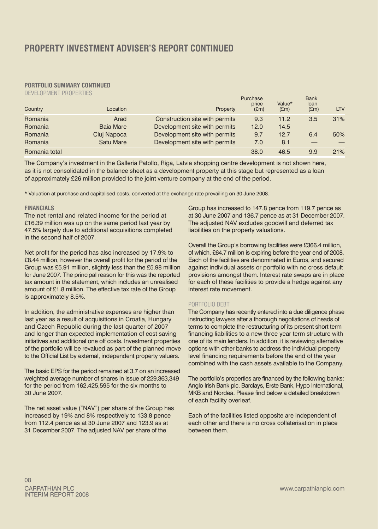# **PORTFOLIO SUMMARY CONTINUED**<br>DEVELOPMENT PROPERTIES

| DEVELOPMENT PROPERTIES |                  |                                |                           |                |                             |            |
|------------------------|------------------|--------------------------------|---------------------------|----------------|-----------------------------|------------|
| Country                | Location         | Property                       | Purchase<br>price<br>E(m) | Value*<br>E(m) | <b>Bank</b><br>loan<br>E(m) | <b>LTV</b> |
| Romania                | Arad             | Construction site with permits | 9.3                       | 11.2           | 3.5                         | 31%        |
| Romania                | <b>Baja Mare</b> | Development site with permits  | 12.0                      | 14.5           |                             |            |
| Romania                | Cluj Napoca      | Development site with permits  | 9.7                       | 12.7           | 6.4                         | 50%        |
| Romania                | <b>Satu Mare</b> | Development site with permits  | 7.0                       | 8.1            |                             |            |
| Romania total          |                  |                                | 38.0                      | 46.5           | 9.9                         | 21%        |

The Company's investment in the Galleria Patollo, Riga, Latvia shopping centre development is not shown here, as it is not consolidated in the balance sheet as a development property at this stage but represented as a loan of approximately £26 million provided to the joint venture company at the end of the period.

\* Valuation at purchase and capitalised costs, converted at the exchange rate prevailing on 30 June 2008.

#### **Financials**

The net rental and related income for the period at £16.39 million was up on the same period last year by 47.5% largely due to additional acquisitions completed in the second half of 2007.

Net profit for the period has also increased by 17.9% to £8.44 million, however the overall profit for the period of the Group was £5.91 million, slightly less than the £5.98 million for June 2007. The principal reason for this was the reported tax amount in the statement, which includes an unrealised amount of £1.8 million. The effective tax rate of the Group is approximately 8.5%.

In addition, the administrative expenses are higher than last year as a result of acquisitions in Croatia, Hungary and Czech Republic during the last quarter of 2007 and longer than expected implementation of cost saving initiatives and additional one off costs. Investment properties of the portfolio will be revalued as part of the planned move to the Official List by external, independent property valuers.

The basic EPS for the period remained at 3.7 on an increased weighted average number of shares in issue of 229,363,349 for the period from 162,425,595 for the six months to 30 June 2007.

The net asset value ("NAV") per share of the Group has increased by 19% and 8% respectively to 133.8 pence from 112.4 pence as at 30 June 2007 and 123.9 as at 31 December 2007. The adjusted NAV per share of the

Group has increased to 147.8 pence from 119.7 pence as at 30 June 2007 and 136.7 pence as at 31 December 2007. The adjusted NAV excludes goodwill and deferred tax liabilities on the property valuations.

Overall the Group's borrowing facilities were £366.4 million, of which, £64.7 million is expiring before the year end of 2008. Each of the facilities are denominated in Euros, and secured against individual assets or portfolio with no cross default provisions amongst them. Interest rate swaps are in place for each of these facilities to provide a hedge against any interest rate movement.

#### PORTFOLIO DEBT

The Company has recently entered into a due diligence phase instructing lawyers after a thorough negotiations of heads of terms to complete the restructuring of its present short term financing liabilities to a new three year term structure with one of its main lenders. In addition, it is reviewing alternative options with other banks to address the individual property level financing requirements before the end of the year combined with the cash assets available to the Company.

The portfolio's properties are financed by the following banks: Anglo Irish Bank plc, Barclays, Erste Bank, Hypo International, MKB and Nordea. Please find below a detailed breakdown of each facility overleaf.

Each of the facilities listed opposite are independent of each other and there is no cross collaterisation in place between them.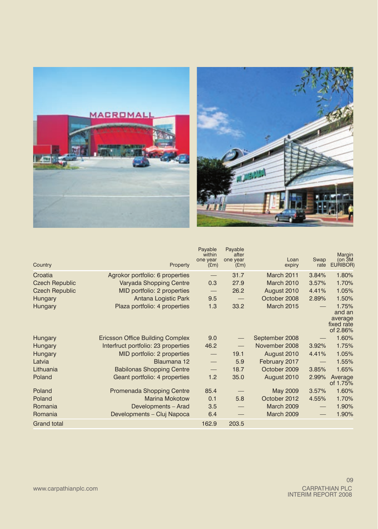



| Country               | Property                                | Payable<br>within<br>one year<br>E(m) | Payable<br>after<br>one year<br>E(m) | Loan<br>expiry    | Swap<br>rate      | Margin<br>(on <sub>3M</sub> )<br>EURIBOR)            |
|-----------------------|-----------------------------------------|---------------------------------------|--------------------------------------|-------------------|-------------------|------------------------------------------------------|
| Croatia               | Agrokor portfolio: 6 properties         | $\qquad \qquad -$                     | 31.7                                 | <b>March 2011</b> | 3.84%             | 1.80%                                                |
| <b>Czech Republic</b> | Varyada Shopping Centre                 | 0.3                                   | 27.9                                 | <b>March 2010</b> | 3.57%             | 1.70%                                                |
| <b>Czech Republic</b> | MID portfolio: 2 properties             | $\overline{\phantom{m}}$              | 26.2                                 | August 2010       | 4.41%             | 1.05%                                                |
| Hungary               | Antana Logistic Park                    | 9.5                                   | $\qquad \qquad -$                    | October 2008      | 2.89%             | 1.50%                                                |
| Hungary               | Plaza portfolio: 4 properties           | 1.3                                   | 33.2                                 | <b>March 2015</b> |                   | 1.75%<br>and an<br>average<br>fixed rate<br>of 2.86% |
| Hungary               | <b>Ericsson Office Building Complex</b> | 9.0                                   | $\overline{\phantom{m}}$             | September 2008    |                   | 1.60%                                                |
| Hungary               | Interfruct portfolio: 23 properties     | 46.2                                  |                                      | November 2008     | 3.92%             | 1.75%                                                |
| Hungary               | MID portfolio: 2 properties             | $\qquad \qquad -$                     | 19.1                                 | August 2010       | 4.41%             | 1.05%                                                |
| Latvia                | Blaumana 12                             |                                       | 5.9                                  | February 2017     | $\qquad \qquad -$ | 1.55%                                                |
| Lithuania             | <b>Babilonas Shopping Centre</b>        | $\qquad \qquad -$                     | 18.7                                 | October 2009      | 3.85%             | 1.65%                                                |
| Poland                | Geant portfolio: 4 properties           | 1.2                                   | 35.0                                 | August 2010       | 2.99%             | Average<br>of 1.75%                                  |
| Poland                | Promenada Shopping Centre               | 85.4                                  |                                      | May 2009          | 3.57%             | 1.60%                                                |
| Poland                | <b>Marina Mokotow</b>                   | 0.1                                   | 5.8                                  | October 2012      | 4.55%             | 1.70%                                                |
| Romania               | Developments - Arad                     | 3.5                                   |                                      | <b>March 2009</b> | $\qquad \qquad -$ | 1.90%                                                |
| Romania               | Developments - Cluj Napoca              | 6.4                                   |                                      | <b>March 2009</b> |                   | 1.90%                                                |
| <b>Grand total</b>    |                                         | 162.9                                 | 203.5                                |                   |                   |                                                      |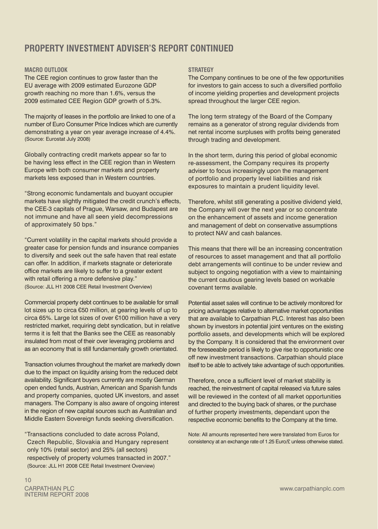## **Property Investment Adviser's Report continued**

### **Macro outlook**

The CEE region continues to grow faster than the EU average with 2009 estimated Eurozone GDP growth reaching no more than 1.6%, versus the 2009 estimated CEE Region GDP growth of 5.3%.

The majority of leases in the portfolio are linked to one of a number of Euro Consumer Price Indices which are currently demonstrating a year on year average increase of 4.4%. (Source: Eurostat July 2008)

Globally contracting credit markets appear so far to be having less effect in the CEE region than in Western Europe with both consumer markets and property markets less exposed than in Western countries.

"Strong economic fundamentals and buoyant occupier markets have slightly mitigated the credit crunch's effects, the CEE‑3 capitals of Prague, Warsaw, and Budapest are not immune and have all seen yield decompressions of approximately 50 bps."

"Current volatility in the capital markets should provide a greater case for pension funds and insurance companies to diversify and seek out the safe haven that real estate can offer. In addition, if markets stagnate or deteriorate office markets are likely to suffer to a greater extent with retail offering a more defensive play." (Source: JLL H1 2008 CEE Retail Investment Overview)

Commercial property debt continues to be available for small lot sizes up to circa €50 million, at gearing levels of up to circa 65%. Large lot sizes of over €100 million have a very restricted market, requiring debt syndication, but in relative terms it is felt that the Banks see the CEE as reasonably insulated from most of their over leveraging problems and as an economy that is still fundamentally growth orientated.

Transaction volumes throughout the market are markedly down due to the impact on liquidity arising from the reduced debt availability. Significant buyers currently are mostly German open ended funds, Austrian, American and Spanish funds and property companies, quoted UK investors, and asset managers. The Company is also aware of ongoing interest in the region of new capital sources such as Australian and Middle Eastern Sovereign funds seeking diversification.

"Transactions concluded to date across Poland, Czech Republic, Slovakia and Hungary represent only 10% (retail sector) and 25% (all sectors) respectively of property volumes transacted in 2007." (Source: JLL H1 2008 CEE Retail Investment Overview)

#### **Strategy**

The Company continues to be one of the few opportunities for investors to gain access to such a diversified portfolio of income yielding properties and development projects spread throughout the larger CEE region.

The long term strategy of the Board of the Company remains as a generator of strong regular dividends from net rental income surpluses with profits being generated through trading and development.

In the short term, during this period of global economic re‑assessment, the Company requires its property adviser to focus increasingly upon the management of portfolio and property level liabilities and risk exposures to maintain a prudent liquidity level.

Therefore, whilst still generating a positive dividend yield, the Company will over the next year or so concentrate on the enhancement of assets and income generation and management of debt on conservative assumptions to protect NAV and cash balances.

This means that there will be an increasing concentration of resources to asset management and that all portfolio debt arrangements will continue to be under review and subject to ongoing negotiation with a view to maintaining the current cautious gearing levels based on workable covenant terms available.

Potential asset sales will continue to be actively monitored for pricing advantages relative to alternative market opportunities that are available to Carpathian PLC. Interest has also been shown by investors in potential joint ventures on the existing portfolio assets, and developments which will be explored by the Company. It is considered that the environment over the foreseeable period is likely to give rise to opportunistic one off new investment transactions. Carpathian should place itself to be able to actively take advantage of such opportunities.

Therefore, once a sufficient level of market stability is reached, the reinvestment of capital released via future sales will be reviewed in the context of all market opportunities and directed to the buying back of shares, or the purchase of further property investments, dependant upon the respective economic benefits to the Company at the time.

Note: All amounts represented here were translated from Euros for consistency at an exchange rate of 1.25 Euro/£ unless otherwise stated.

10 carpathian plc interim report 2008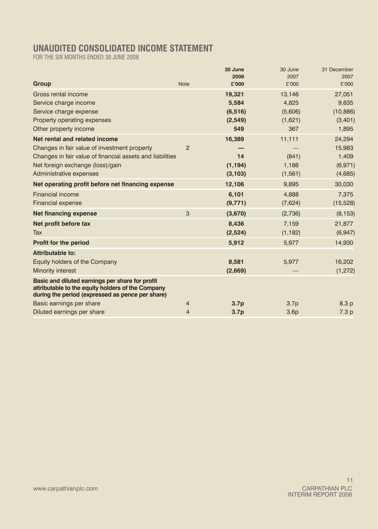# **UNAUDITED CONSOLIDATED INCOME STATEMENT**

FOR THE SIX MONTHS ENDED 30 JUNE 2008

|                                                                                                                                                          |                | 30 June          | 30 June          | 31 December      |
|----------------------------------------------------------------------------------------------------------------------------------------------------------|----------------|------------------|------------------|------------------|
| Group                                                                                                                                                    | <b>Note</b>    | 2008<br>£'000    | 2007<br>£'000    | 2007<br>£'000    |
| Gross rental income                                                                                                                                      |                | 19,321           | 13,146           | 27,051           |
| Service charge income                                                                                                                                    |                | 5,584            | 4,825            | 9,635            |
| Service charge expense                                                                                                                                   |                | (6, 516)         | (5,606)          | (10, 886)        |
| Property operating expenses                                                                                                                              |                | (2,549)          | (1,621)          | (3,401)          |
| Other property income                                                                                                                                    |                | 549              | 367              | 1,895            |
| Net rental and related income                                                                                                                            |                | 16,389           | 11,111           | 24,294           |
| Changes in fair value of investment property                                                                                                             | $\overline{2}$ |                  |                  | 15,983           |
| Changes in fair value of financial assets and liabilities                                                                                                |                | 14               | (841)            | 1,409            |
| Net foreign exchange (loss)/gain                                                                                                                         |                | (1, 194)         | 1,186            | (6,971)          |
| Administrative expenses                                                                                                                                  |                | (3, 103)         | (1, 561)         | (4,685)          |
| Net operating profit before net financing expense                                                                                                        |                | 12,106           | 9,895            | 30,030           |
| Financial income                                                                                                                                         |                | 6,101            | 4,888            | 7,375            |
| <b>Financial expense</b>                                                                                                                                 |                | (9, 771)         | (7,624)          | (15, 528)        |
| <b>Net financing expense</b>                                                                                                                             | 3              | (3,670)          | (2,736)          | (8, 153)         |
| Net profit before tax                                                                                                                                    |                | 8,436            | 7,159            | 21,877           |
| Tax                                                                                                                                                      |                | (2,524)          | (1, 182)         | (6,947)          |
| Profit for the period                                                                                                                                    |                | 5,912            | 5,977            | 14,930           |
| Attributable to:                                                                                                                                         |                |                  |                  |                  |
| Equity holders of the Company                                                                                                                            |                | 8,581            | 5,977            | 16,202           |
| Minority interest                                                                                                                                        |                | (2,669)          |                  | (1, 272)         |
| Basic and diluted earnings per share for profit<br>attributable to the equity holders of the Company<br>during the period (expressed as pence per share) |                |                  |                  |                  |
| Basic earnings per share                                                                                                                                 | 4              | 3.7 <sub>p</sub> | 3.7 <sub>p</sub> | 8.3 p            |
| Diluted earnings per share                                                                                                                               | $\overline{4}$ | 3.7 <sub>p</sub> | 3.6p             | 7.3 <sub>p</sub> |
|                                                                                                                                                          |                |                  |                  |                  |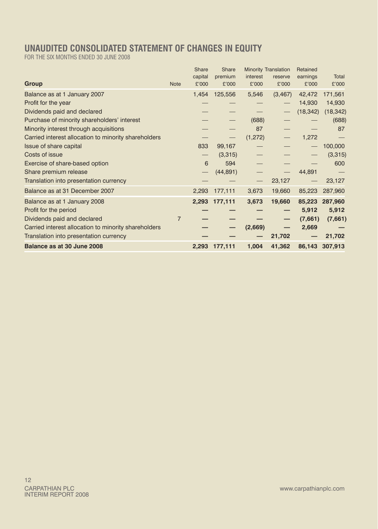# **UNAUDITED CONSOLIDATED STATEMENT OF CHANGES IN EQUITY**

FOR THE SIX MONTHS ENDED 30 JUNE 2008

| Balance as at 30 June 2008                           |                | 2,293            | 177,111          | 1,004             | 41,362               |                   | 86,143 307,913 |
|------------------------------------------------------|----------------|------------------|------------------|-------------------|----------------------|-------------------|----------------|
| Translation into presentation currency               |                |                  |                  |                   | 21,702               |                   | 21,702         |
| Carried interest allocation to minority shareholders |                |                  |                  | (2,669)           |                      | 2,669             |                |
| Dividends paid and declared                          | $\overline{7}$ |                  |                  |                   |                      | (7,661)           | (7,661)        |
| Profit for the period                                |                |                  |                  |                   |                      | 5,912             | 5,912          |
| Balance as at 1 January 2008                         |                | 2.293            | 177,111          | 3,673             | 19,660               | 85.223            | 287,960        |
| Balance as at 31 December 2007                       |                | 2,293            | 177,111          | 3,673             | 19,660               | 85,223            | 287,960        |
| Translation into presentation currency               |                |                  |                  | $\qquad \qquad -$ | 23,127               |                   | 23,127         |
| Share premium release                                |                |                  | (44, 891)        |                   |                      | 44,891            |                |
| Exercise of share-based option                       |                | 6                | 594              |                   |                      |                   | 600            |
| Costs of issue                                       |                |                  | (3,315)          |                   |                      |                   | (3,315)        |
| Issue of share capital                               |                | 833              | 99,167           |                   |                      |                   | 100,000        |
| Carried interest allocation to minority shareholders |                |                  |                  | (1, 272)          |                      | 1,272             |                |
| Minority interest through acquisitions               |                |                  |                  | 87                |                      |                   | 87             |
| Purchase of minority shareholders' interest          |                |                  |                  | (688)             |                      |                   | (688)          |
| Dividends paid and declared                          |                |                  |                  |                   |                      | (18, 342)         | (18, 342)      |
| Profit for the year                                  |                |                  |                  |                   |                      | 14,930            | 14,930         |
| Balance as at 1 January 2007                         |                | 1,454            | 125,556          | 5,546             | (3, 467)             | 42,472            | 171,561        |
| Group                                                | <b>Note</b>    | capital<br>£'000 | premium<br>£'000 | interest<br>£'000 | reserve<br>£'000     | earnings<br>£'000 | Total<br>£'000 |
|                                                      |                | Share            | Share            |                   | Minority Translation | Retained          |                |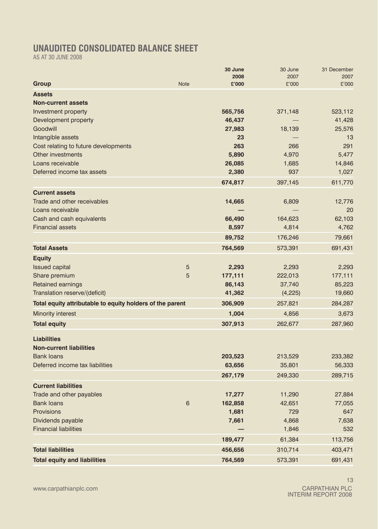## **UNAUDITED CONSOLIDATED BALANCE SHEET**

AS AT 30 JUNE 2008

|                                                           |             | 30 June       | 30 June       | 31 December   |
|-----------------------------------------------------------|-------------|---------------|---------------|---------------|
|                                                           | <b>Note</b> | 2008<br>£'000 | 2007<br>£'000 | 2007<br>£'000 |
| Group                                                     |             |               |               |               |
| <b>Assets</b>                                             |             |               |               |               |
| <b>Non-current assets</b>                                 |             |               |               |               |
| Investment property                                       |             | 565,756       | 371,148       | 523,112       |
| Development property                                      |             | 46,437        |               | 41,428        |
| Goodwill                                                  |             | 27,983        | 18,139        | 25,576        |
| Intangible assets                                         |             | 23            |               | 13            |
| Cost relating to future developments                      |             | 263           | 266           | 291           |
| Other investments                                         |             | 5,890         | 4,970         | 5,477         |
| Loans receivable                                          |             | 26,085        | 1,685         | 14,846        |
| Deferred income tax assets                                |             | 2,380         | 937           | 1,027         |
|                                                           |             | 674,817       | 397,145       | 611,770       |
| <b>Current assets</b>                                     |             |               |               |               |
| Trade and other receivables                               |             | 14,665        | 6,809         | 12,776        |
| Loans receivable                                          |             |               |               | 20            |
| Cash and cash equivalents                                 |             | 66,490        | 164,623       | 62.103        |
| <b>Financial assets</b>                                   |             | 8,597         | 4,814         | 4,762         |
|                                                           |             | 89,752        | 176,246       | 79,661        |
| <b>Total Assets</b>                                       |             | 764,569       | 573,391       | 691,431       |
| <b>Equity</b>                                             |             |               |               |               |
| <b>Issued capital</b>                                     | 5           | 2,293         | 2,293         | 2,293         |
| Share premium                                             | 5           | 177,111       | 222,013       | 177,111       |
| <b>Retained earnings</b>                                  |             | 86,143        | 37,740        | 85,223        |
| Translation reserve/(deficit)                             |             | 41,362        | (4,225)       | 19,660        |
| Total equity attributable to equity holders of the parent |             | 306,909       | 257,821       | 284,287       |
| Minority interest                                         |             | 1,004         | 4,856         | 3,673         |
| <b>Total equity</b>                                       |             | 307,913       | 262,677       | 287,960       |
| <b>Liabilities</b>                                        |             |               |               |               |
| <b>Non-current liabilities</b>                            |             |               |               |               |
| <b>Bank loans</b>                                         |             | 203,523       | 213,529       | 233,382       |
| Deferred income tax liabilities                           |             | 63,656        | 35,801        | 56,333        |
|                                                           |             | 267,179       | 249,330       | 289,715       |
| <b>Current liabilities</b>                                |             |               |               |               |
| Trade and other payables                                  |             | 17,277        | 11,290        | 27,884        |
| <b>Bank loans</b>                                         | 6           | 162,858       | 42,651        | 77,055        |
| Provisions                                                |             | 1,681         | 729           | 647           |
| Dividends payable                                         |             | 7,661         | 4,868         | 7,638         |
| <b>Financial liabilities</b>                              |             |               | 1,846         | 532           |
|                                                           |             | 189,477       | 61,384        | 113,756       |
| <b>Total liabilities</b>                                  |             | 456,656       | 310,714       | 403,471       |
| <b>Total equity and liabilities</b>                       |             | 764,569       | 573,391       | 691,431       |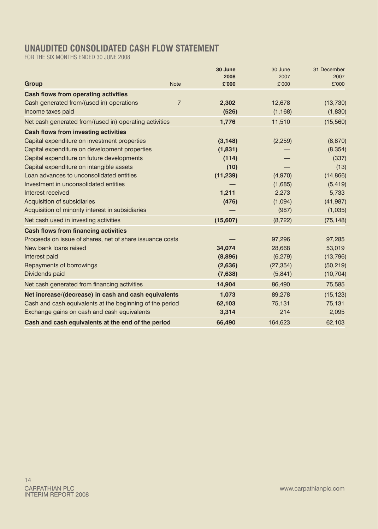## **UNAUDITED CONSOLIDATED CASH FLOW STATEMENT**

FOR THE SIX MONTHS ENDED 30 JUNE 2008

|                                                          |                | 30 June   | 30 June   | 31 December |
|----------------------------------------------------------|----------------|-----------|-----------|-------------|
|                                                          |                | 2008      | 2007      | 2007        |
| Group                                                    | <b>Note</b>    | £'000     | £'000     | £'000       |
| <b>Cash flows from operating activities</b>              |                |           |           |             |
| Cash generated from/(used in) operations                 | $\overline{7}$ | 2.302     | 12,678    | (13,730)    |
| Income taxes paid                                        |                | (526)     | (1, 168)  | (1,830)     |
| Net cash generated from/(used in) operating activities   |                | 1,776     | 11,510    | (15, 560)   |
| <b>Cash flows from investing activities</b>              |                |           |           |             |
| Capital expenditure on investment properties             |                | (3, 148)  | (2,259)   | (8, 870)    |
| Capital expenditure on development properties            |                | (1,831)   |           | (8, 354)    |
| Capital expenditure on future developments               |                | (114)     |           | (337)       |
| Capital expenditure on intangible assets                 |                | (10)      |           | (13)        |
| Loan advances to unconsolidated entities                 |                | (11, 239) | (4,970)   | (14, 866)   |
| Investment in unconsolidated entities                    |                |           | (1,685)   | (5, 419)    |
| Interest received                                        |                | 1.211     | 2,273     | 5,733       |
| Acquisition of subsidiaries                              |                | (476)     | (1,094)   | (41, 987)   |
| Acquisition of minority interest in subsidiaries         |                |           | (987)     | (1,035)     |
| Net cash used in investing activities                    |                | (15,607)  | (8, 722)  | (75, 148)   |
| <b>Cash flows from financing activities</b>              |                |           |           |             |
| Proceeds on issue of shares, net of share issuance costs |                |           | 97,296    | 97,285      |
| New bank loans raised                                    |                | 34,074    | 28,668    | 53,019      |
| Interest paid                                            |                | (8,896)   | (6, 279)  | (13,796)    |
| Repayments of borrowings                                 |                | (2,636)   | (27, 354) | (50, 219)   |
| Dividends paid                                           |                | (7,638)   | (5,841)   | (10, 704)   |
| Net cash generated from financing activities             |                | 14,904    | 86,490    | 75,585      |
| Net increase/(decrease) in cash and cash equivalents     |                | 1,073     | 89,278    | (15, 123)   |
| Cash and cash equivalents at the beginning of the period |                | 62,103    | 75,131    | 75,131      |
| Exchange gains on cash and cash equivalents              |                | 3,314     | 214       | 2,095       |
| Cash and cash equivalents at the end of the period       |                | 66,490    | 164,623   | 62,103      |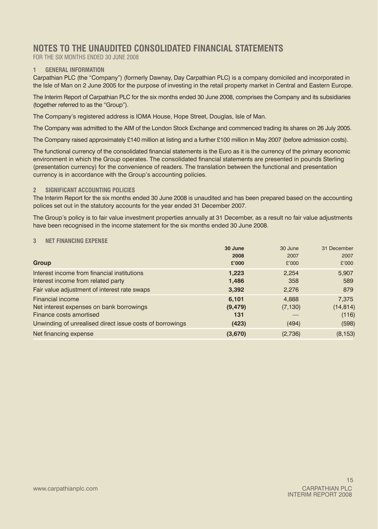### **NOTES TO THE UNAUDITED CONSOLIDATED FINANCIAL STATEMENTS**

FOR THE SIX MONTHS ENDED 30 JUNE 2008

### **1 GENERAL INFORMATION**

Carpathian PLC (the "Company") (formerly Dawnay, Day Carpathian PLC) is a company domiciled and incorporated in the Isle of Man on 2 June 2005 for the purpose of investing in the retail property market in Central and Eastern Europe.

The Interim Report of Carpathian PLC for the six months ended 30 June 2008, comprises the Company and its subsidiaries (together referred to as the "Group").

The Company's registered address is IOMA House, Hope Street, Douglas, Isle of Man.

The Company was admitted to the AIM of the London Stock Exchange and commenced trading its shares on 26 July 2005.

The Company raised approximately £140 million at listing and a further £100 million in May 2007 (before admission costs).

The functional currency of the consolidated financial statements is the Euro as it is the currency of the primary economic environment in which the Group operates. The consolidated financial statements are presented in pounds Sterling (presentation currency) for the convenience of readers. The translation between the functional and presentation currency is in accordance with the Group's accounting policies.

### **2 SIGNIFICANT ACCOUNTING POLICIES**

The Interim Report for the six months ended 30 June 2008 is unaudited and has been prepared based on the accounting polices set out in the statutory accounts for the year ended 31 December 2007.

The Group's policy is to fair value investment properties annually at 31 December, as a result no fair value adjustments have been recognised in the income statement for the six months ended 30 June 2008.

### **3 NET FINANCING EXPENSE**

|                                                          | 30 June  | 30 June  | 31 December |
|----------------------------------------------------------|----------|----------|-------------|
|                                                          | 2008     | 2007     | 2007        |
| Group                                                    | £'000    | £'000    | £'000       |
| Interest income from financial institutions              | 1,223    | 2,254    | 5,907       |
| Interest income from related party                       | 1,486    | 358      | 589         |
| Fair value adjustment of interest rate swaps             | 3,392    | 2,276    | 879         |
| <b>Financial income</b>                                  | 6.101    | 4,888    | 7.375       |
| Net interest expenses on bank borrowings                 | (9, 479) | (7, 130) | (14, 814)   |
| Finance costs amortised                                  | 131      |          | (116)       |
| Unwinding of unrealised direct issue costs of borrowings | (423)    | (494)    | (598)       |
| Net financing expense                                    | (3,670)  | (2,736)  | (8, 153)    |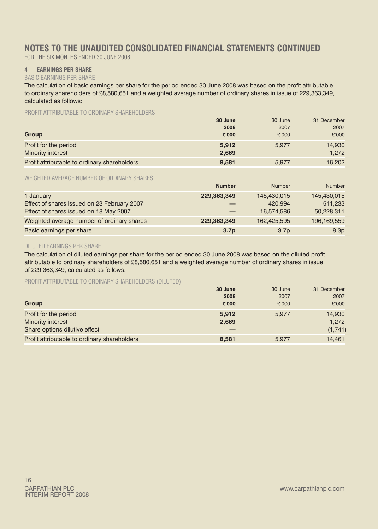## **NOTES TO THE UNAUDITED CONSOLIDATED FINANCIAL STATEMENTS continued**

FOR THE SIX MONTHS ENDED 30 JUNE 2008

### **4 EARNINGS PER SHARE**

#### BASIC EARNINGS PER SHARE

The calculation of basic earnings per share for the period ended 30 June 2008 was based on the profit attributable to ordinary shareholders of £8,580,651 and a weighted average number of ordinary shares in issue of 229,363,349, calculated as follows:

PROFIT ATTRIBUTABLE TO ORDINARY SHAREHOLDERS

|                                              | 30 June | 30 June | 31 December |
|----------------------------------------------|---------|---------|-------------|
|                                              | 2008    | 2007    | 2007        |
| Group                                        | £'000   | £'000   | £'000       |
| Profit for the period                        | 5.912   | 5.977   | 14.930      |
| Minority interest                            | 2.669   |         | 1.272       |
| Profit attributable to ordinary shareholders | 8.581   | 5.977   | 16.202      |

WEIGHTED AVERAGE NUMBER OF ORDINARY SHARES

|                                             | <b>Number</b>    | Number           | Number           |
|---------------------------------------------|------------------|------------------|------------------|
| 1 January                                   | 229.363.349      | 145.430.015      | 145,430,015      |
| Effect of shares issued on 23 February 2007 |                  | 420.994          | 511.233          |
| Effect of shares issued on 18 May 2007      |                  | 16.574.586       | 50,228,311       |
| Weighted average number of ordinary shares  | 229.363.349      | 162.425.595      | 196,169,559      |
| Basic earnings per share                    | 3.7 <sub>p</sub> | 3.7 <sub>p</sub> | 8.3 <sub>p</sub> |

### DILUTED EARNINGS PER SHARE

The calculation of diluted earnings per share for the period ended 30 June 2008 was based on the diluted profit attributable to ordinary shareholders of £8,580,651 and a weighted average number of ordinary shares in issue of 229,363,349, calculated as follows:

PROFIT ATTRIBUTABLE TO ORDINARY SHAREHOLDERS (DILUTED)

|                                              | 30 June | 30 June | 31 December |
|----------------------------------------------|---------|---------|-------------|
|                                              | 2008    | 2007    | 2007        |
| Group                                        | £'000   | £'000   | £'000       |
| Profit for the period                        | 5.912   | 5.977   | 14,930      |
| Minority interest                            | 2.669   |         | 1.272       |
| Share options dilutive effect                |         |         | (1,741)     |
| Profit attributable to ordinary shareholders | 8.581   | 5.977   | 14.461      |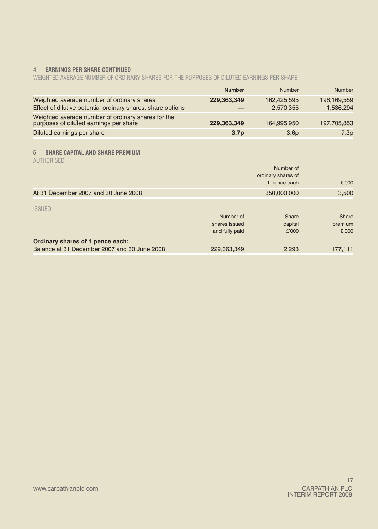### **4 EARNINGS PER SHARE continued**

WEIGHTED AVERAGE NUMBER OF ORDINARY SHARES FOR THE PURPOSES OF DILUTED EARNINGS PER SHARE

|                                                                                                           | <b>Number</b>    | Number                   | Number                   |
|-----------------------------------------------------------------------------------------------------------|------------------|--------------------------|--------------------------|
| Weighted average number of ordinary shares<br>Effect of dilutive potential ordinary shares: share options | 229.363.349      | 162.425.595<br>2.570.355 | 196.169.559<br>1.536.294 |
| Weighted average number of ordinary shares for the<br>purposes of diluted earnings per share              | 229.363.349      | 164.995.950              | 197.705.853              |
| Diluted earnings per share                                                                                | 3.7 <sub>p</sub> | 3.6 <sub>D</sub>         | 7.3p                     |

### **5 SHARE CAPITAL AND SHARE PREMIUM**

AUTHORISED

|                                                                                  |                                              | Number of<br>ordinary shares of |                           |
|----------------------------------------------------------------------------------|----------------------------------------------|---------------------------------|---------------------------|
|                                                                                  |                                              | 1 pence each                    | £'000                     |
| At 31 December 2007 and 30 June 2008                                             |                                              | 350,000,000                     | 3,500                     |
| <b>ISSUED</b>                                                                    | Number of<br>shares issued<br>and fully paid | Share<br>capital<br>£'000       | Share<br>premium<br>£'000 |
| Ordinary shares of 1 pence each:<br>Balance at 31 December 2007 and 30 June 2008 | 229,363,349                                  | 2,293                           | 177,111                   |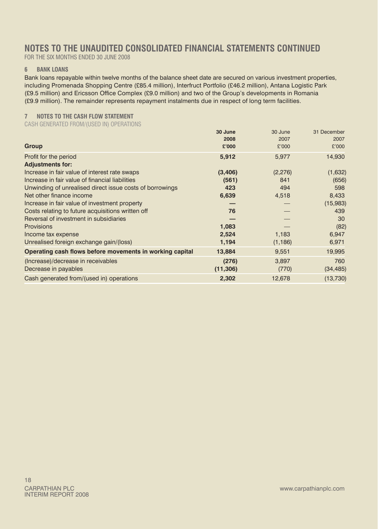### **NOTES TO THE UNAUDITED CONSOLIDATED FINANCIAL STATEMENTS continued**

FOR THE SIX MONTHS ENDED 30 JUNE 2008

### **6 Bank loans**

Bank loans repayable within twelve months of the balance sheet date are secured on various investment properties, including Promenada Shopping Centre (£85.4 million), Interfruct Portfolio (£46.2 million), Antana Logistic Park (£9.5 million) and Ericsson Office Complex (£9.0 million) and two of the Group's developments in Romania (£9.9 million). The remainder represents repayment instalments due in respect of long term facilities.

### **7 NOTES TO THE CASH FLOW STATEMENT**

CASH GENERATED FROM/(USED IN) OPERATIONS

| 30 June   | 30 June       | 31 December   |
|-----------|---------------|---------------|
|           |               | 2007          |
|           |               | £'000         |
| 5,912     | 5,977         | 14,930        |
|           |               |               |
| (3,406)   | (2,276)       | (1,632)       |
| (561)     | 841           | (656)         |
| 423       | 494           | 598           |
| 6,639     | 4,518         | 8,433         |
|           |               | (15,983)      |
| 76        |               | 439           |
|           |               | 30            |
| 1,083     |               | (82)          |
| 2,524     | 1,183         | 6,947         |
| 1,194     | (1, 186)      | 6,971         |
| 13,884    | 9,551         | 19,995        |
| (276)     | 3,897         | 760           |
| (11, 306) | (770)         | (34, 485)     |
| 2,302     | 12,678        | (13,730)      |
|           | 2008<br>£'000 | 2007<br>£'000 |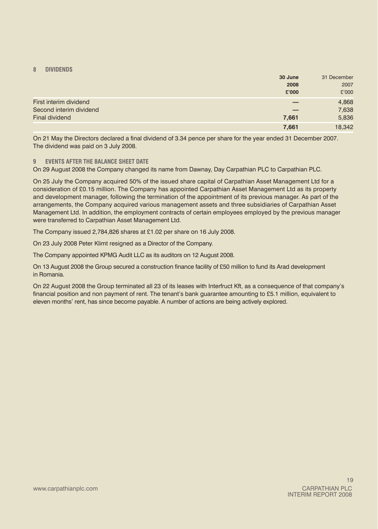### **8 DIVIDENDS**

|                                                   | 30 June<br>2008<br>£'000 | 31 December<br>2007<br>£'000 |
|---------------------------------------------------|--------------------------|------------------------------|
| First interim dividend<br>Second interim dividend |                          | 4,868<br>7,638               |
| Final dividend                                    | 7,661                    | 5,836                        |
|                                                   | 7,661                    | 18,342                       |

On 21 May the Directors declared a final dividend of 3.34 pence per share for the year ended 31 December 2007. The dividend was paid on 3 July 2008.

### **9 EVENTS AFTER THE BALANCE SHEET DATE**

On 29 August 2008 the Company changed its name from Dawnay, Day Carpathian PLC to Carpathian PLC.

On 25 July the Company acquired 50% of the issued share capital of Carpathian Asset Management Ltd for a consideration of £0.15 million. The Company has appointed Carpathian Asset Management Ltd as its property and development manager, following the termination of the appointment of its previous manager. As part of the arrangements, the Company acquired various management assets and three subsidiaries of Carpathian Asset Management Ltd. In addition, the employment contracts of certain employees employed by the previous manager were transferred to Carpathian Asset Management Ltd.

The Company issued 2,784,826 shares at £1.02 per share on 16 July 2008.

On 23 July 2008 Peter Klimt resigned as a Director of the Company.

The Company appointed KPMG Audit LLC as its auditors on 12 August 2008.

On 13 August 2008 the Group secured a construction finance facility of £50 million to fund its Arad development in Romania.

On 22 August 2008 the Group terminated all 23 of its leases with Interfruct Kft, as a consequence of that company's financial position and non payment of rent. The tenant's bank guarantee amounting to £5.1 million, equivalent to eleven months' rent, has since become payable. A number of actions are being actively explored.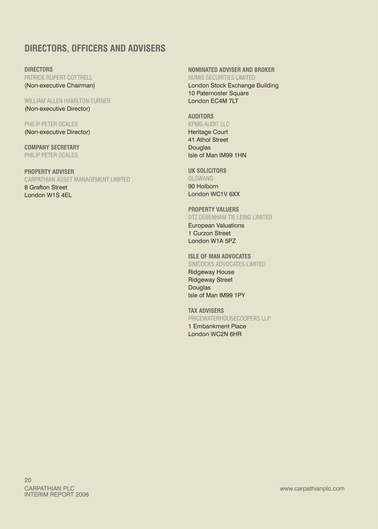### **DIRECTORS, OFFICERS AND ADVISERS**

**Directors** PATRICK RUPERT COTTRELL (Non‑executive Chairman)

WILLIAM ALLEN HAMILTON-TURNER (Non‑executive Director)

Philip Peter Scales (Non‑executive Director)

**Company Secretary** Philip Peter Scales

**Property Adviser** Carpathian Asset Management Limited

8 Grafton Street London W1S 4EL **Nominated Adviser and Broker** Numis Securities Limited

London Stock Exchange Building 10 Paternoster Square London EC4M 7LT

### **Auditors** KPMG Audit LLC

Heritage Court 41 Athol Street Douglas Isle of Man IM99 1HN

**UK Solicitors**

Olswang 90 Holborn London WC1V 6XX

### **Property Valuers**

DTZ Debenham Tie Leing Limited European Valuations 1 Curzon Street London W1A 5PZ

### **Isle of Man Advocates**

Simcocks Advocates Limited Ridgeway House

Ridgeway Street **Douglas** Isle of Man IM99 1PY

**Tax Advisers** Pricewaterhousecoopers LLP 1 Embankment Place

London WC2N 6HR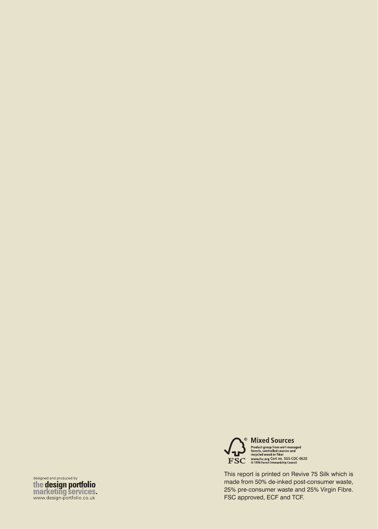designed and produced by<br>the design portfolio marketing services.



This report is printed on Revive 75 Silk which is made from 50% de-inked post-consumer waste, 25% pre‑consumer waste and 25% Virgin Fibre. FSC approved, ECF and TCF.